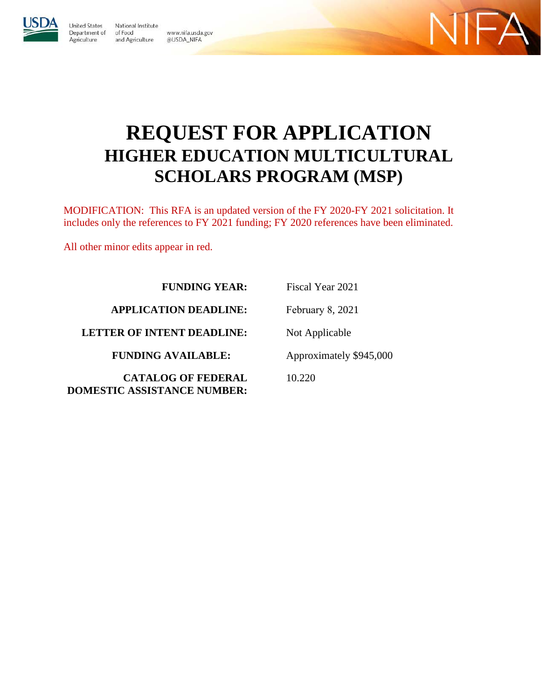

**Jnited States** National Institute Department of of Food Agriculture and Agriculture @USDA\_NIFA

www.nifa.usda.gov



# **REQUEST FOR APPLICATION HIGHER EDUCATION MULTICULTURAL SCHOLARS PROGRAM (MSP)**

MODIFICATION: This RFA is an updated version of the FY 2020-FY 2021 solicitation. It includes only the references to FY 2021 funding; FY 2020 references have been eliminated.

All other minor edits appear in red.

**FUNDING YEAR:** 

**APPLICATION DEADLINE:**

**LETTER OF INTENT DEADLINE:**

**FUNDING AVAILABLE:** 

**CATALOG OF FEDERAL DOMESTIC ASSISTANCE NUMBER:**

Fiscal Year 2021 February 8, 2021 Not Applicable Approximately \$945,000

10.220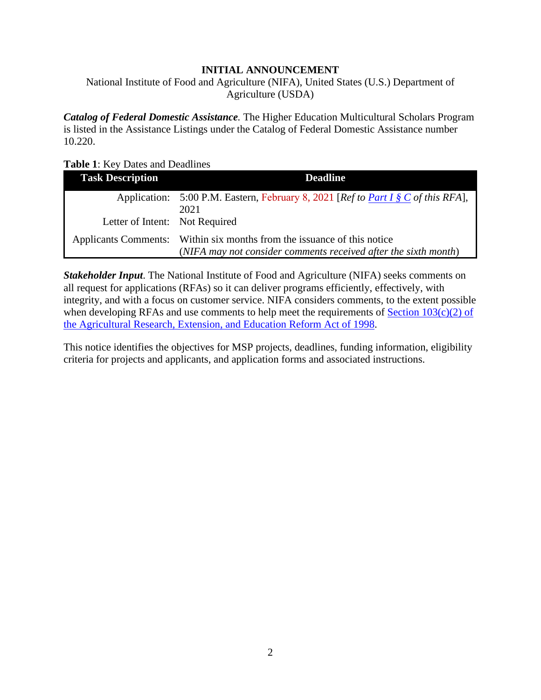#### **INITIAL ANNOUNCEMENT**

<span id="page-1-0"></span>National Institute of Food and Agriculture (NIFA), United States (U.S.) Department of Agriculture (USDA)

*Catalog of Federal Domestic Assistance.* The Higher Education Multicultural Scholars Program is listed in the Assistance Listings under the Catalog of Federal Domestic Assistance number 10.220.

#### <span id="page-1-1"></span>**Table 1**: Key Dates and Deadlines

| <b>Task Description</b>        | <b>Deadline</b>                                                                   |
|--------------------------------|-----------------------------------------------------------------------------------|
|                                | Application: 5:00 P.M. Eastern, February 8, 2021 [Ref to Part I § C of this RFA], |
|                                | 2021                                                                              |
| Letter of Intent: Not Required |                                                                                   |
|                                | Applicants Comments: Within six months from the issuance of this notice           |
|                                | (NIFA may not consider comments received after the sixth month)                   |

*Stakeholder Input*. The National Institute of Food and Agriculture (NIFA) seeks comments on all request for applications (RFAs) so it can deliver programs efficiently, effectively, with integrity, and with a focus on customer service. NIFA considers comments, to the extent possible when developing RFAs and use comments to help meet the requirements of Section  $103(c)(2)$  of [the Agricultural Research, Extension, and Education Reform Act of 1998.](https://uscode.house.gov/view.xhtml?path=/prelim@title7/chapter103&edition=prelim)

This notice identifies the objectives for MSP projects, deadlines, funding information, eligibility criteria for projects and applicants, and application forms and associated instructions.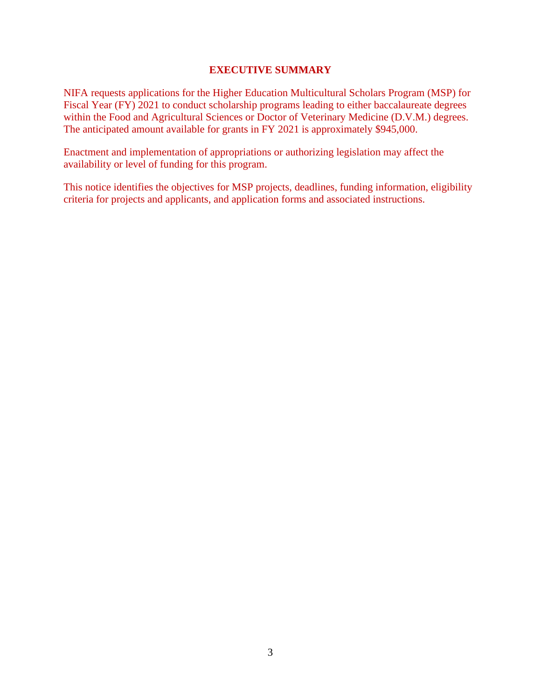#### **EXECUTIVE SUMMARY**

<span id="page-2-0"></span>NIFA requests applications for the Higher Education Multicultural Scholars Program (MSP) for Fiscal Year (FY) 2021 to conduct scholarship programs leading to either baccalaureate degrees within the Food and Agricultural Sciences or Doctor of Veterinary Medicine (D.V.M.) degrees. The anticipated amount available for grants in FY 2021 is approximately \$945,000.

Enactment and implementation of appropriations or authorizing legislation may affect the availability or level of funding for this program.

This notice identifies the objectives for MSP projects, deadlines, funding information, eligibility criteria for projects and applicants, and application forms and associated instructions.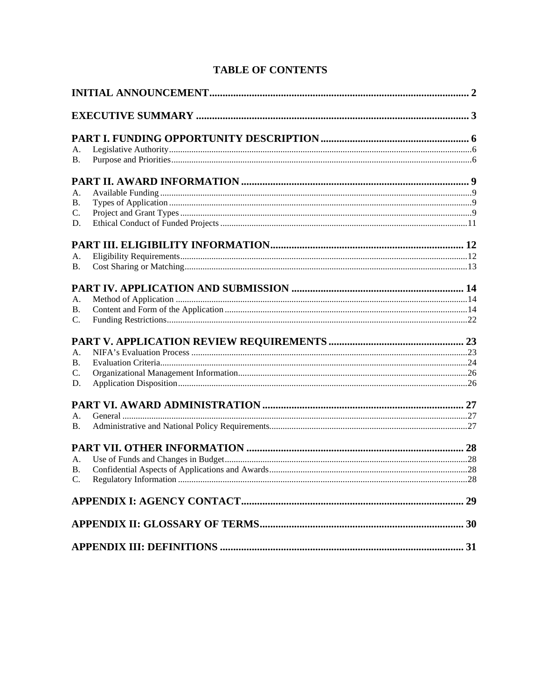# **TABLE OF CONTENTS**

| А.              |  |  |  |
|-----------------|--|--|--|
| В.              |  |  |  |
|                 |  |  |  |
| А.              |  |  |  |
| <b>B.</b>       |  |  |  |
| C.              |  |  |  |
| D.              |  |  |  |
|                 |  |  |  |
| А.              |  |  |  |
| B.              |  |  |  |
|                 |  |  |  |
| А.              |  |  |  |
| <b>B.</b>       |  |  |  |
| $\mathcal{C}$ . |  |  |  |
|                 |  |  |  |
| А.              |  |  |  |
| <b>B.</b>       |  |  |  |
| $\mathcal{C}$ . |  |  |  |
| D.              |  |  |  |
|                 |  |  |  |
| A.              |  |  |  |
| <b>B.</b>       |  |  |  |
|                 |  |  |  |
| А.              |  |  |  |
| <b>B.</b>       |  |  |  |
| C.              |  |  |  |
|                 |  |  |  |
|                 |  |  |  |
|                 |  |  |  |
|                 |  |  |  |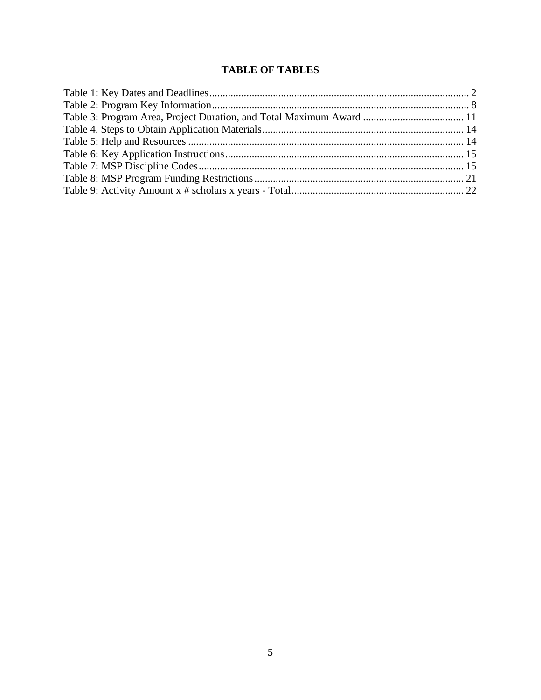# **TABLE OF TABLES**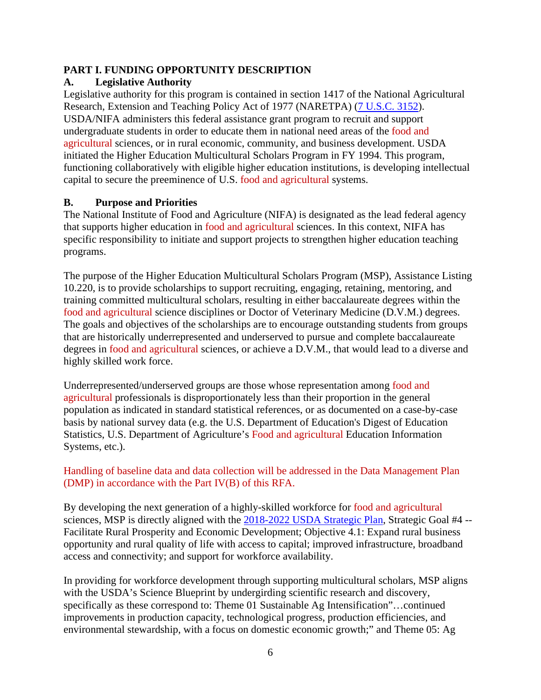## <span id="page-5-0"></span>**PART I. FUNDING OPPORTUNITY DESCRIPTION**

# <span id="page-5-1"></span>**A. Legislative Authority**

Legislative authority for this program is contained in section 1417 of the National Agricultural Research, Extension and Teaching Policy Act of 1977 (NARETPA) [\(7 U.S.C. 3152\)](https://uscode.house.gov/view.xhtml?req=7+USC+3152&f=treesort&fq=true&num=4&hl=true&edition=prelim&granuleId=USC-prelim-title7-section3152). USDA/NIFA administers this federal assistance grant program to recruit and support undergraduate students in order to educate them in national need areas of the food and agricultural sciences, or in rural economic, community, and business development. USDA initiated the Higher Education Multicultural Scholars Program in FY 1994. This program, functioning collaboratively with eligible higher education institutions, is developing intellectual capital to secure the preeminence of U.S. food and agricultural systems.

# <span id="page-5-2"></span>**B. Purpose and Priorities**

The National Institute of Food and Agriculture (NIFA) is designated as the lead federal agency that supports higher education in food and agricultural sciences. In this context, NIFA has specific responsibility to initiate and support projects to strengthen higher education teaching programs.

The purpose of the Higher Education Multicultural Scholars Program (MSP), Assistance Listing 10.220, is to provide scholarships to support recruiting, engaging, retaining, mentoring, and training committed multicultural scholars, resulting in either baccalaureate degrees within the food and agricultural science disciplines or Doctor of Veterinary Medicine (D.V.M.) degrees. The goals and objectives of the scholarships are to encourage outstanding students from groups that are historically underrepresented and underserved to pursue and complete baccalaureate degrees in food and agricultural sciences, or achieve a D.V.M., that would lead to a diverse and highly skilled work force.

Underrepresented/underserved groups are those whose representation among food and agricultural professionals is disproportionately less than their proportion in the general population as indicated in standard statistical references, or as documented on a case-by-case basis by national survey data (e.g. the U.S. Department of Education's Digest of Education Statistics, U.S. Department of Agriculture's Food and agricultural Education Information Systems, etc.).

# Handling of baseline data and data collection will be addressed in the Data Management Plan (DMP) in accordance with the Part IV(B) of this RFA.

By developing the next generation of a highly-skilled workforce for food and agricultural sciences, MSP is directly aligned with the [2018-2022 USDA Strategic Plan,](https://www.usda.gov/sites/default/files/documents/usda-strategic-plan-2018-2022.pdf) Strategic Goal #4 --Facilitate Rural Prosperity and Economic Development; Objective 4.1: Expand rural business opportunity and rural quality of life with access to capital; improved infrastructure, broadband access and connectivity; and support for workforce availability.

In providing for workforce development through supporting multicultural scholars, MSP aligns with the USDA's Science Blueprint by undergirding scientific research and discovery, specifically as these correspond to: Theme 01 Sustainable Ag Intensification"…continued improvements in production capacity, technological progress, production efficiencies, and environmental stewardship, with a focus on domestic economic growth;" and Theme 05: Ag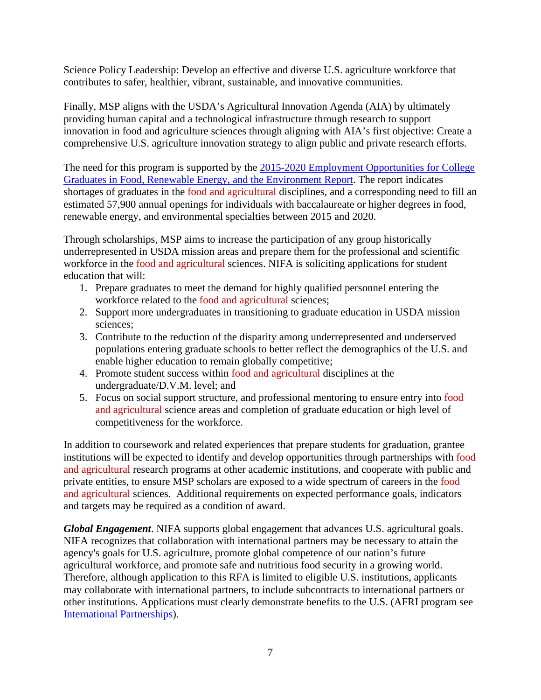Science Policy Leadership: Develop an effective and diverse U.S. agriculture workforce that contributes to safer, healthier, vibrant, sustainable, and innovative communities.

Finally, MSP aligns with the USDA's Agricultural Innovation Agenda (AIA) by ultimately providing human capital and a technological infrastructure through research to support innovation in food and agriculture sciences through aligning with AIA's first objective: Create a comprehensive U.S. agriculture innovation strategy to align public and private research efforts.

The need for this program is supported by the [2015-2020 Employment Opportunities for College](https://www.purdue.edu/usda/employment/)  [Graduates in Food, Renewable Energy, and the Environment Report.](https://www.purdue.edu/usda/employment/) The report indicates shortages of graduates in the food and agricultural disciplines, and a corresponding need to fill an estimated 57,900 annual openings for individuals with baccalaureate or higher degrees in food, renewable energy, and environmental specialties between 2015 and 2020.

Through scholarships, MSP aims to increase the participation of any group historically underrepresented in USDA mission areas and prepare them for the professional and scientific workforce in the food and agricultural sciences. NIFA is soliciting applications for student education that will:

- 1. Prepare graduates to meet the demand for highly qualified personnel entering the workforce related to the food and agricultural sciences;
- 2. Support more undergraduates in transitioning to graduate education in USDA mission sciences;
- 3. Contribute to the reduction of the disparity among underrepresented and underserved populations entering graduate schools to better reflect the demographics of the U.S. and enable higher education to remain globally competitive;
- 4. Promote student success within food and agricultural disciplines at the undergraduate/D.V.M. level; and
- 5. Focus on social support structure, and professional mentoring to ensure entry into food and agricultural science areas and completion of graduate education or high level of competitiveness for the workforce.

In addition to coursework and related experiences that prepare students for graduation, grantee institutions will be expected to identify and develop opportunities through partnerships with food and agricultural research programs at other academic institutions, and cooperate with public and private entities, to ensure MSP scholars are exposed to a wide spectrum of careers in the food and agricultural sciences. Additional requirements on expected performance goals, indicators and targets may be required as a condition of award.

*Global Engagement*. NIFA supports global engagement that advances U.S. agricultural goals. NIFA recognizes that collaboration with international partners may be necessary to attain the agency's goals for U.S. agriculture, promote global competence of our nation's future agricultural workforce, and promote safe and nutritious food security in a growing world. Therefore, although application to this RFA is limited to eligible U.S. institutions, applicants may collaborate with international partners, to include subcontracts to international partners or other institutions. Applications must clearly demonstrate benefits to the U.S. (AFRI program see [International Partnerships\)](https://nifa.usda.gov/resource/afri-international-partnerships).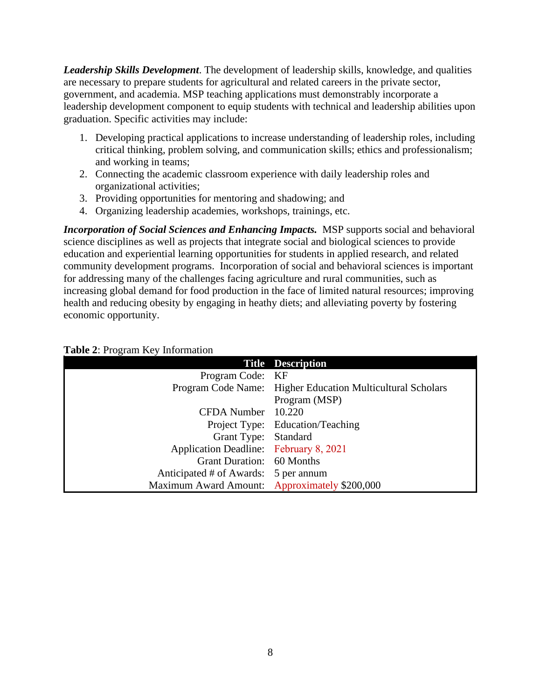*Leadership Skills Development*. The development of leadership skills, knowledge, and qualities are necessary to prepare students for agricultural and related careers in the private sector, government, and academia. MSP teaching applications must demonstrably incorporate a leadership development component to equip students with technical and leadership abilities upon graduation. Specific activities may include:

- 1. Developing practical applications to increase understanding of leadership roles, including critical thinking, problem solving, and communication skills; ethics and professionalism; and working in teams;
- 2. Connecting the academic classroom experience with daily leadership roles and organizational activities;
- 3. Providing opportunities for mentoring and shadowing; and
- 4. Organizing leadership academies, workshops, trainings, etc.

*Incorporation of Social Sciences and Enhancing Impacts.* MSP supports social and behavioral science disciplines as well as projects that integrate social and biological sciences to provide education and experiential learning opportunities for students in applied research, and related community development programs. Incorporation of social and behavioral sciences is important for addressing many of the challenges facing agriculture and rural communities, such as increasing global demand for food production in the face of limited natural resources; improving health and reducing obesity by engaging in heathy diets; and alleviating poverty by fostering economic opportunity.

<span id="page-7-0"></span>

|                                               | <b>Title Description</b>                                   |
|-----------------------------------------------|------------------------------------------------------------|
| Program Code: KF                              |                                                            |
|                                               | Program Code Name: Higher Education Multicultural Scholars |
|                                               | Program (MSP)                                              |
| CFDA Number 10.220                            |                                                            |
|                                               | Project Type: Education/Teaching                           |
| Grant Type: Standard                          |                                                            |
| Application Deadline: February 8, 2021        |                                                            |
| Grant Duration: 60 Months                     |                                                            |
| Anticipated # of Awards: 5 per annum          |                                                            |
| Maximum Award Amount: Approximately \$200,000 |                                                            |

#### <span id="page-7-1"></span>**Table 2**: Program Key Information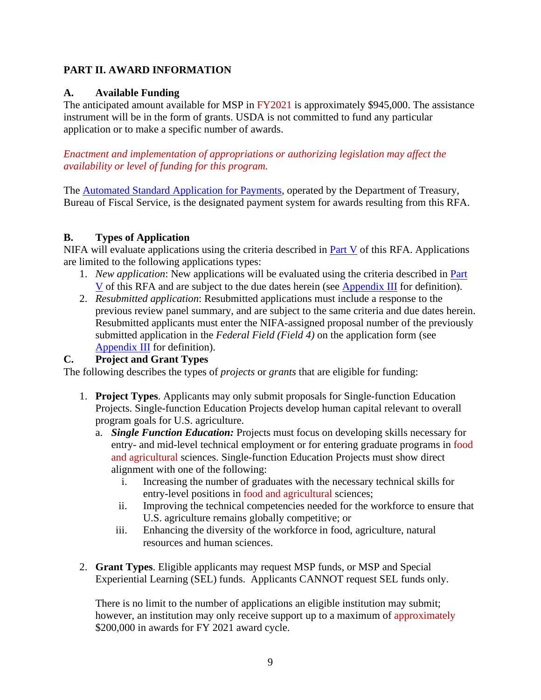# <span id="page-8-0"></span>**PART II. AWARD INFORMATION**

# <span id="page-8-1"></span>**A. Available Funding**

The anticipated amount available for MSP in FY2021 is approximately \$945,000. The assistance instrument will be in the form of grants. USDA is not committed to fund any particular application or to make a specific number of awards.

*Enactment and implementation of appropriations or authorizing legislation may affect the availability or level of funding for this program.*

The [Automated Standard Application for Payments,](https://www.fiscal.treasury.gov/fsservices/gov/pmt/asap/asap_home.htm) operated by the Department of Treasury, Bureau of Fiscal Service, is the designated payment system for awards resulting from this RFA.

# <span id="page-8-2"></span>**B. Types of Application**

NIFA will evaluate applications using the criteria described in [Part V](#page-22-0) of this RFA. Applications are limited to the following applications types:

- 1. *New application*: New applications will be evaluated using the criteria described in [Part](#page-22-0)  [V](#page-22-0) of this RFA and are subject to the due dates herein (see [Appendix III](#page-30-0) for definition).
- 2. *Resubmitted application*: Resubmitted applications must include a response to the previous review panel summary, and are subject to the same criteria and due dates herein. Resubmitted applicants must enter the NIFA-assigned proposal number of the previously submitted application in the *Federal Field (Field 4)* on the application form (see [Appendix III](#page-30-0) for definition).

# <span id="page-8-3"></span>**C. Project and Grant Types**

The following describes the types of *projects* or *grants* that are eligible for funding:

- 1. **Project Types**. Applicants may only submit proposals for Single-function Education Projects. Single-function Education Projects develop human capital relevant to overall program goals for U.S. agriculture.
	- a. *Single Function Education:* Projects must focus on developing skills necessary for entry- and mid-level technical employment or for entering graduate programs in food and agricultural sciences. Single-function Education Projects must show direct alignment with one of the following:
		- i. Increasing the number of graduates with the necessary technical skills for entry-level positions in food and agricultural sciences;
		- ii. Improving the technical competencies needed for the workforce to ensure that U.S. agriculture remains globally competitive; or
		- iii. Enhancing the diversity of the workforce in food, agriculture, natural resources and human sciences.
- 2. **Grant Types**. Eligible applicants may request MSP funds, or MSP and Special Experiential Learning (SEL) funds. Applicants CANNOT request SEL funds only.

There is no limit to the number of applications an eligible institution may submit; however, an institution may only receive support up to a maximum of approximately \$200,000 in awards for FY 2021 award cycle.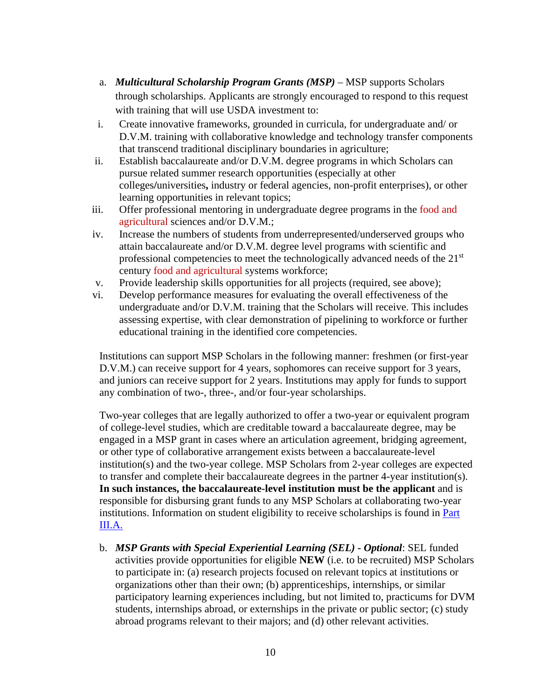- a. *Multicultural Scholarship Program Grants (MSP)* MSP supports Scholars through scholarships. Applicants are strongly encouraged to respond to this request with training that will use USDA investment to:
- i. Create innovative frameworks, grounded in curricula, for undergraduate and/ or D.V.M. training with collaborative knowledge and technology transfer components that transcend traditional disciplinary boundaries in agriculture;
- ii. Establish baccalaureate and/or D.V.M. degree programs in which Scholars can pursue related summer research opportunities (especially at other colleges**/**universities**,** industry or federal agencies, non-profit enterprises), or other learning opportunities in relevant topics;
- iii. Offer professional mentoring in undergraduate degree programs in the food and agricultural sciences and/or D.V.M.;
- iv. Increase the numbers of students from underrepresented/underserved groups who attain baccalaureate and/or D.V.M. degree level programs with scientific and professional competencies to meet the technologically advanced needs of the 21st century food and agricultural systems workforce;
- v. Provide leadership skills opportunities for all projects (required, see above);
- vi. Develop performance measures for evaluating the overall effectiveness of the undergraduate and/or D.V.M. training that the Scholars will receive. This includes assessing expertise, with clear demonstration of pipelining to workforce or further educational training in the identified core competencies.

Institutions can support MSP Scholars in the following manner: freshmen (or first-year D.V.M.) can receive support for 4 years, sophomores can receive support for 3 years, and juniors can receive support for 2 years. Institutions may apply for funds to support any combination of two-, three-, and/or four-year scholarships.

Two-year colleges that are legally authorized to offer a two-year or equivalent program of college-level studies, which are creditable toward a baccalaureate degree, may be engaged in a MSP grant in cases where an articulation agreement, bridging agreement, or other type of collaborative arrangement exists between a baccalaureate-level institution(s) and the two-year college. MSP Scholars from 2-year colleges are expected to transfer and complete their baccalaureate degrees in the partner 4-year institution(s). **In such instances, the baccalaureate-level institution must be the applicant** and is responsible for disbursing grant funds to any MSP Scholars at collaborating two-year institutions. Information on student eligibility to receive scholarships is found in **Part** [III.A.](#page-11-1)

b. *MSP Grants with Special Experiential Learning (SEL) - Optional*: SEL funded activities provide opportunities for eligible **NEW** (i.e. to be recruited) MSP Scholars to participate in: (a) research projects focused on relevant topics at institutions or organizations other than their own; (b) apprenticeships, internships, or similar participatory learning experiences including, but not limited to, practicums for DVM students, internships abroad, or externships in the private or public sector; (c) study abroad programs relevant to their majors; and (d) other relevant activities.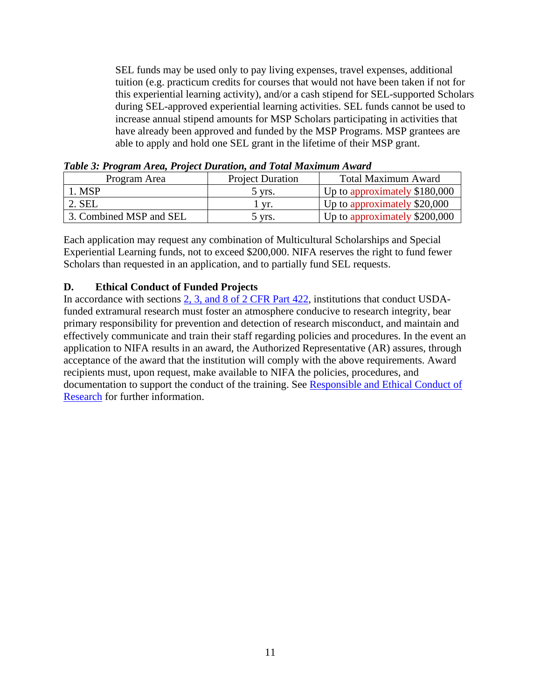<span id="page-10-1"></span>SEL funds may be used only to pay living expenses, travel expenses, additional tuition (e.g. practicum credits for courses that would not have been taken if not for this experiential learning activity), and/or a cash stipend for SEL-supported Scholars during SEL-approved experiential learning activities. SEL funds cannot be used to increase annual stipend amounts for MSP Scholars participating in activities that have already been approved and funded by the MSP Programs. MSP grantees are able to apply and hold one SEL grant in the lifetime of their MSP grant.

| Program Area            | <b>Project Duration</b> | <b>Total Maximum Award</b>    |
|-------------------------|-------------------------|-------------------------------|
| . MSP                   | 5 vrs.                  | Up to approximately \$180,000 |
| 2. SEL                  | Vr.                     | Up to approximately \$20,000  |
| 3. Combined MSP and SEL | 5 yrs.                  | Up to approximately \$200,000 |

*Table 3: Program Area, Project Duration, and Total Maximum Award*

Each application may request any combination of Multicultural Scholarships and Special Experiential Learning funds, not to exceed \$200,000. NIFA reserves the right to fund fewer Scholars than requested in an application, and to partially fund SEL requests.

# <span id="page-10-0"></span>**D. Ethical Conduct of Funded Projects**

In accordance with sections [2, 3, and 8 of 2 CFR Part 422,](https://www.ecfr.gov/cgi-bin/text-idx?SID=442b3bb67a64d91e527071dde1bf8a05&mc=true&node=pt2.1.422&rgn=div5) institutions that conduct USDAfunded extramural research must foster an atmosphere conducive to research integrity, bear primary responsibility for prevention and detection of research misconduct, and maintain and effectively communicate and train their staff regarding policies and procedures. In the event an application to NIFA results in an award, the Authorized Representative (AR) assures, through acceptance of the award that the institution will comply with the above requirements. Award recipients must, upon request, make available to NIFA the policies, procedures, and documentation to support the conduct of the training. See [Responsible and Ethical Conduct of](https://nifa.usda.gov/responsible-and-ethical-conduct-research)  [Research](https://nifa.usda.gov/responsible-and-ethical-conduct-research) for further information.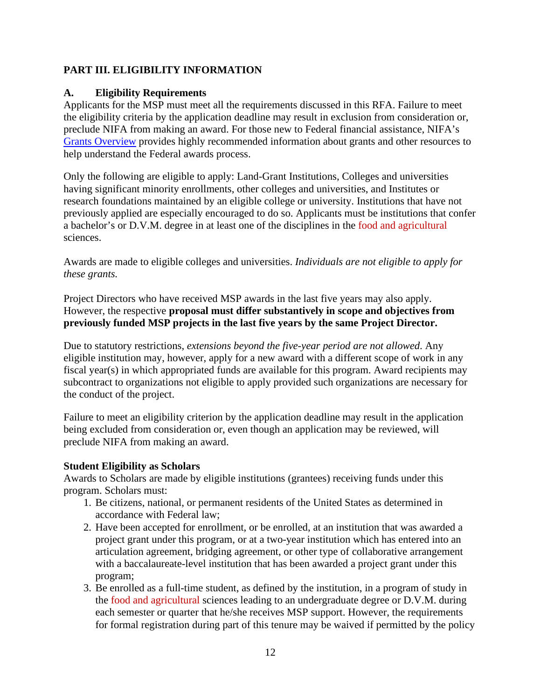# <span id="page-11-0"></span>**PART III. ELIGIBILITY INFORMATION**

### <span id="page-11-1"></span>**A. Eligibility Requirements**

Applicants for the MSP must meet all the requirements discussed in this RFA. Failure to meet the eligibility criteria by the application deadline may result in exclusion from consideration or, preclude NIFA from making an award. For those new to Federal financial assistance, NIFA's [Grants Overview](https://nifa.usda.gov/resource/grants-overview) provides highly recommended information about grants and other resources to help understand the Federal awards process.

Only the following are eligible to apply: Land-Grant Institutions, Colleges and universities having significant minority enrollments, other colleges and universities, and Institutes or research foundations maintained by an eligible college or university. Institutions that have not previously applied are especially encouraged to do so. Applicants must be institutions that confer a bachelor's or D.V.M. degree in at least one of the disciplines in the food and agricultural sciences.

Awards are made to eligible colleges and universities. *Individuals are not eligible to apply for these grants.*

Project Directors who have received MSP awards in the last five years may also apply. However, the respective **proposal must differ substantively in scope and objectives from previously funded MSP projects in the last five years by the same Project Director.**

Due to statutory restrictions, *extensions beyond the five-year period are not allowed*. Any eligible institution may, however, apply for a new award with a different scope of work in any fiscal year(s) in which appropriated funds are available for this program. Award recipients may subcontract to organizations not eligible to apply provided such organizations are necessary for the conduct of the project.

Failure to meet an eligibility criterion by the application deadline may result in the application being excluded from consideration or, even though an application may be reviewed, will preclude NIFA from making an award.

#### **Student Eligibility as Scholars**

Awards to Scholars are made by eligible institutions (grantees) receiving funds under this program. Scholars must:

- 1. Be citizens, national, or permanent residents of the United States as determined in accordance with Federal law;
- 2. Have been accepted for enrollment, or be enrolled, at an institution that was awarded a project grant under this program, or at a two-year institution which has entered into an articulation agreement, bridging agreement, or other type of collaborative arrangement with a baccalaureate-level institution that has been awarded a project grant under this program;
- 3. Be enrolled as a full-time student, as defined by the institution, in a program of study in the food and agricultural sciences leading to an undergraduate degree or D.V.M. during each semester or quarter that he/she receives MSP support. However, the requirements for formal registration during part of this tenure may be waived if permitted by the policy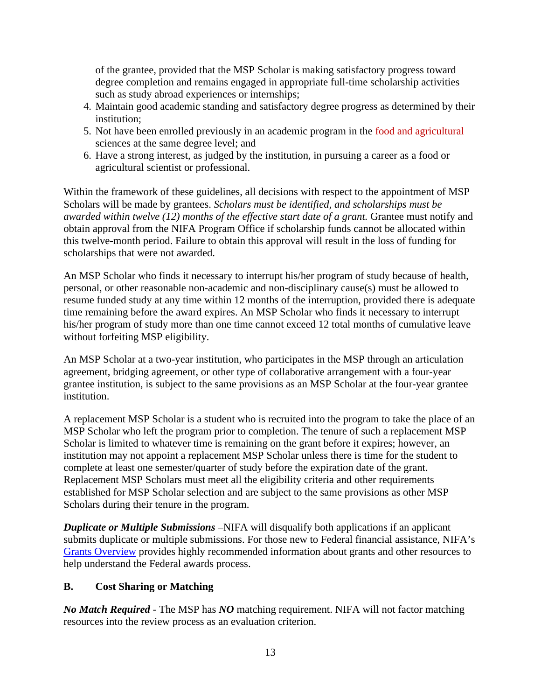of the grantee, provided that the MSP Scholar is making satisfactory progress toward degree completion and remains engaged in appropriate full-time scholarship activities such as study abroad experiences or internships;

- 4. Maintain good academic standing and satisfactory degree progress as determined by their institution;
- 5. Not have been enrolled previously in an academic program in the food and agricultural sciences at the same degree level; and
- 6. Have a strong interest, as judged by the institution, in pursuing a career as a food or agricultural scientist or professional.

Within the framework of these guidelines, all decisions with respect to the appointment of MSP Scholars will be made by grantees. *Scholars must be identified, and scholarships must be awarded within twelve (12) months of the effective start date of a grant.* Grantee must notify and obtain approval from the NIFA Program Office if scholarship funds cannot be allocated within this twelve-month period. Failure to obtain this approval will result in the loss of funding for scholarships that were not awarded.

An MSP Scholar who finds it necessary to interrupt his/her program of study because of health, personal, or other reasonable non-academic and non-disciplinary cause(s) must be allowed to resume funded study at any time within 12 months of the interruption, provided there is adequate time remaining before the award expires. An MSP Scholar who finds it necessary to interrupt his/her program of study more than one time cannot exceed 12 total months of cumulative leave without forfeiting MSP eligibility.

An MSP Scholar at a two-year institution, who participates in the MSP through an articulation agreement, bridging agreement, or other type of collaborative arrangement with a four-year grantee institution, is subject to the same provisions as an MSP Scholar at the four-year grantee institution.

A replacement MSP Scholar is a student who is recruited into the program to take the place of an MSP Scholar who left the program prior to completion. The tenure of such a replacement MSP Scholar is limited to whatever time is remaining on the grant before it expires; however, an institution may not appoint a replacement MSP Scholar unless there is time for the student to complete at least one semester/quarter of study before the expiration date of the grant. Replacement MSP Scholars must meet all the eligibility criteria and other requirements established for MSP Scholar selection and are subject to the same provisions as other MSP Scholars during their tenure in the program.

*Duplicate or Multiple Submissions* –NIFA will disqualify both applications if an applicant submits duplicate or multiple submissions. For those new to Federal financial assistance, NIFA's [Grants Overview](https://nifa.usda.gov/resource/grants-overview) provides highly recommended information about grants and other resources to help understand the Federal awards process.

## <span id="page-12-0"></span>**B. Cost Sharing or Matching**

*No Match Required* - The MSP has *NO* matching requirement. NIFA will not factor matching resources into the review process as an evaluation criterion.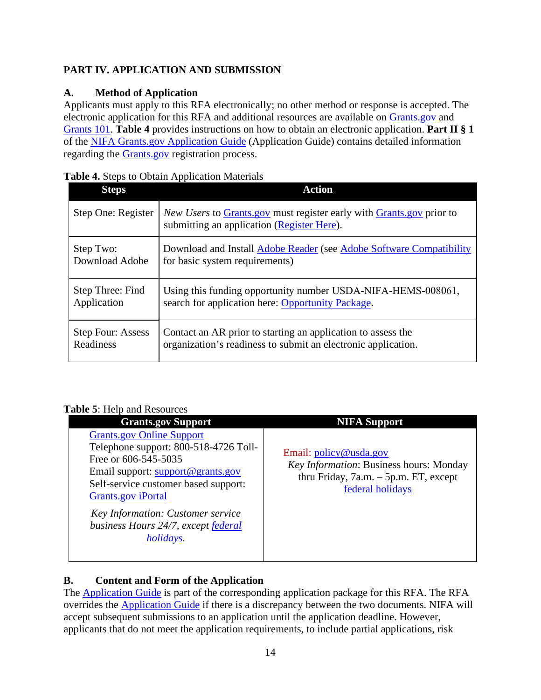# <span id="page-13-0"></span>**PART IV. APPLICATION AND SUBMISSION**

# <span id="page-13-1"></span>**A. Method of Application**

Applicants must apply to this RFA electronically; no other method or response is accepted. The electronic application for this RFA and additional resources are available on [Grants.gov](https://www.grants.gov/) and [Grants 101.](https://www.grants.gov/web/grants/learn-grants/grants-101/pre-award-phase.html/) **Table 4** provides instructions on how to obtain an electronic application. **Part II § 1** of the [NIFA Grants.gov Application Guide](https://apply07.grants.gov/apply/opportunities/instructions/PKG00249520-instructions.pdf) (Application Guide) contains detailed information regarding the [Grants.gov](https://www.grants.gov/) registration process.

<span id="page-13-3"></span>

| Table 4. Steps to Obtain Application Materials |
|------------------------------------------------|
|------------------------------------------------|

| <b>Steps</b>             | <b>Action</b>                                                                                                                           |
|--------------------------|-----------------------------------------------------------------------------------------------------------------------------------------|
| Step One: Register       | <i>New Users</i> to <b>Grants</b> gov must register early with <b>Grants</b> gov prior to<br>submitting an application (Register Here). |
| Step Two:                | Download and Install Adobe Reader (see Adobe Software Compatibility                                                                     |
| Download Adobe           | for basic system requirements)                                                                                                          |
| Step Three: Find         | Using this funding opportunity number USDA-NIFA-HEMS-008061,                                                                            |
| Application              | search for application here: Opportunity Package.                                                                                       |
| <b>Step Four: Assess</b> | Contact an AR prior to starting an application to assess the                                                                            |
| Readiness                | organization's readiness to submit an electronic application.                                                                           |

#### <span id="page-13-4"></span>**Table 5: Help and Resources**

| able D. Holp and Resources                                                                                                                                                                                                                                                                           |                                                                                                                                   |
|------------------------------------------------------------------------------------------------------------------------------------------------------------------------------------------------------------------------------------------------------------------------------------------------------|-----------------------------------------------------------------------------------------------------------------------------------|
| <b>Grants.gov Support</b>                                                                                                                                                                                                                                                                            | <b>NIFA Support</b>                                                                                                               |
| <b>Grants.gov Online Support</b><br>Telephone support: 800-518-4726 Toll-<br>Free or 606-545-5035<br>Email support: support@grants.gov<br>Self-service customer based support:<br><b>Grants.gov</b> iPortal<br>Key Information: Customer service<br>business Hours 24/7, except federal<br>holidays. | Email: policy@usda.gov<br>Key Information: Business hours: Monday<br>thru Friday, $7a.m. - 5p.m. ET$ , except<br>federal holidays |
|                                                                                                                                                                                                                                                                                                      |                                                                                                                                   |

# <span id="page-13-2"></span>**B. Content and Form of the Application**

The [Application Guide](https://apply07.grants.gov/apply/opportunities/instructions/PKG00249520-instructions.pdf) is part of the corresponding application package for this RFA. The RFA overrides the [Application Guide](https://apply07.grants.gov/apply/opportunities/instructions/PKG00249520-instructions.pdf) if there is a discrepancy between the two documents. NIFA will accept subsequent submissions to an application until the application deadline. However, applicants that do not meet the application requirements, to include partial applications, risk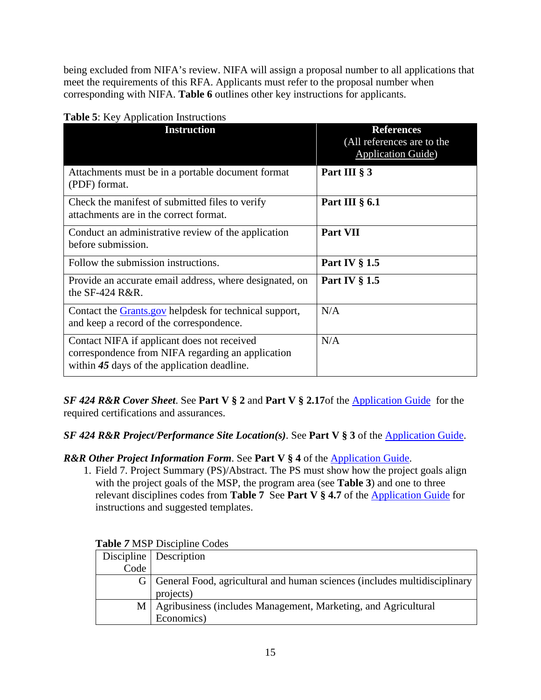being excluded from NIFA's review. NIFA will assign a proposal number to all applications that meet the requirements of this RFA. Applicants must refer to the proposal number when corresponding with NIFA. **Table 6** outlines other key instructions for applicants.

| $\frac{1}{2}$ . Trop is application model<br><b>Instruction</b>                                                                                 | <b>References</b><br>(All references are to the<br><b>Application Guide</b> ) |
|-------------------------------------------------------------------------------------------------------------------------------------------------|-------------------------------------------------------------------------------|
| Attachments must be in a portable document format<br>(PDF) format.                                                                              | Part III § 3                                                                  |
| Check the manifest of submitted files to verify<br>attachments are in the correct format.                                                       | Part III $\S$ 6.1                                                             |
| Conduct an administrative review of the application<br>before submission.                                                                       | Part VII                                                                      |
| Follow the submission instructions.                                                                                                             | <b>Part IV § 1.5</b>                                                          |
| Provide an accurate email address, where designated, on<br>the $SF-424$ R&R.                                                                    | <b>Part IV § 1.5</b>                                                          |
| Contact the <b>Grants</b> gov helpdesk for technical support,<br>and keep a record of the correspondence.                                       | N/A                                                                           |
| Contact NIFA if applicant does not received<br>correspondence from NIFA regarding an application<br>within 45 days of the application deadline. | N/A                                                                           |

<span id="page-14-0"></span>

|  |  | Table 5: Key Application Instructions |
|--|--|---------------------------------------|
|  |  |                                       |

*SF 424 R&R Cover Sheet*. See **Part V § 2** and **Part V § 2.17**of the [Application Guide](https://apply07.grants.gov/apply/opportunities/instructions/PKG00249520-instructions.pdf) for the required certifications and assurances.

*SF 424 R&R Project/Performance Site Location(s)*. See **Part V § 3** of the [Application Guide.](https://apply07.grants.gov/apply/opportunities/instructions/PKG00249520-instructions.pdf)

*R&R Other Project Information Form*. See **Part V § 4** of the [Application Guide.](https://apply07.grants.gov/apply/opportunities/instructions/PKG00249520-instructions.pdf)

1. Field 7. Project Summary (PS)/Abstract. The PS must show how the project goals align with the project goals of the MSP, the program area (see **Table 3**) and one to three relevant disciplines codes from **Table 7** See Part V § 4.7 of the [Application Guide](https://apply07.grants.gov/apply/opportunities/instructions/PKG00249520-instructions.pdf) for instructions and suggested templates.

|      | Discipline   Description                                                    |
|------|-----------------------------------------------------------------------------|
| Code |                                                                             |
|      | G General Food, agricultural and human sciences (includes multidisciplinary |
|      | projects)                                                                   |
|      | M   Agribusiness (includes Management, Marketing, and Agricultural          |
|      | Economics)                                                                  |

## <span id="page-14-1"></span>**Table** *7* MSP Discipline Codes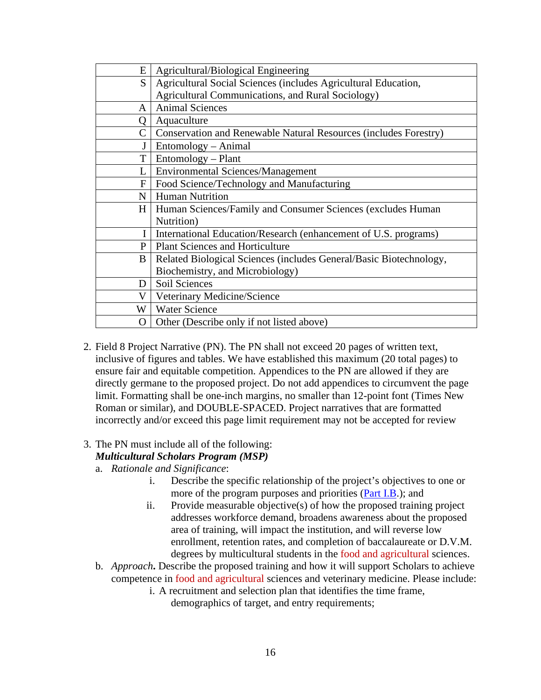| E | Agricultural/Biological Engineering                                |
|---|--------------------------------------------------------------------|
| S | Agricultural Social Sciences (includes Agricultural Education,     |
|   | Agricultural Communications, and Rural Sociology)                  |
| A | <b>Animal Sciences</b>                                             |
| Q | Aquaculture                                                        |
| C | Conservation and Renewable Natural Resources (includes Forestry)   |
|   | Entomology – Animal                                                |
| T | Entomology – Plant                                                 |
|   | <b>Environmental Sciences/Management</b>                           |
| F | Food Science/Technology and Manufacturing                          |
| N | <b>Human Nutrition</b>                                             |
| H | Human Sciences/Family and Consumer Sciences (excludes Human        |
|   | Nutrition)                                                         |
| I | International Education/Research (enhancement of U.S. programs)    |
| P | <b>Plant Sciences and Horticulture</b>                             |
| B | Related Biological Sciences (includes General/Basic Biotechnology, |
|   | Biochemistry, and Microbiology)                                    |
| D | Soil Sciences                                                      |
| V | Veterinary Medicine/Science                                        |
| W | <b>Water Science</b>                                               |
| 0 | Other (Describe only if not listed above)                          |

- 2. Field 8 Project Narrative (PN). The PN shall not exceed 20 pages of written text, inclusive of figures and tables. We have established this maximum (20 total pages) to ensure fair and equitable competition. Appendices to the PN are allowed if they are directly germane to the proposed project. Do not add appendices to circumvent the page limit. Formatting shall be one-inch margins, no smaller than 12-point font (Times New Roman or similar), and DOUBLE-SPACED. Project narratives that are formatted incorrectly and/or exceed this page limit requirement may not be accepted for review
- 3. The PN must include all of the following:

# *Multicultural Scholars Program (MSP)*

- a. *Rationale and Significance*:
	- i. Describe the specific relationship of the project's objectives to one or more of the program purposes and priorities [\(Part I.B.](#page-5-2)); and
	- ii. Provide measurable objective(s) of how the proposed training project addresses workforce demand, broadens awareness about the proposed area of training, will impact the institution, and will reverse low enrollment, retention rates, and completion of baccalaureate or D.V.M. degrees by multicultural students in the food and agricultural sciences.
- b. *Approach***.** Describe the proposed training and how it will support Scholars to achieve competence in food and agricultural sciences and veterinary medicine. Please include:
	- i. A recruitment and selection plan that identifies the time frame, demographics of target, and entry requirements;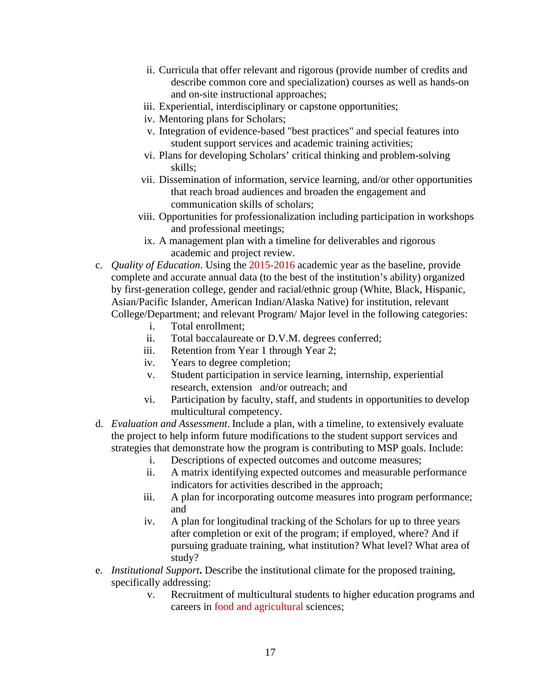- ii. Curricula that offer relevant and rigorous (provide number of credits and describe common core and specialization) courses as well as hands-on and on-site instructional approaches;
- iii. Experiential, interdisciplinary or capstone opportunities;
- iv. Mentoring plans for Scholars;
- v. Integration of evidence-based "best practices" and special features into student support services and academic training activities;
- vi. Plans for developing Scholars' critical thinking and problem-solving skills;
- vii. Dissemination of information, service learning, and/or other opportunities that reach broad audiences and broaden the engagement and communication skills of scholars;
- viii. Opportunities for professionalization including participation in workshops and professional meetings;
- ix. A management plan with a timeline for deliverables and rigorous academic and project review.
- c. *Quality of Education*. Using the 2015-2016 academic year as the baseline, provide complete and accurate annual data (to the best of the institution's ability) organized by first-generation college, gender and racial/ethnic group (White, Black, Hispanic, Asian/Pacific Islander, American Indian/Alaska Native) for institution, relevant College/Department; and relevant Program/ Major level in the following categories:
	- i. Total enrollment;
	- ii. Total baccalaureate or D.V.M. degrees conferred;
	- iii. Retention from Year 1 through Year 2;
	- iv. Years to degree completion;
	- v. Student participation in service learning, internship, experiential research, extension and/or outreach; and
	- vi. Participation by faculty, staff, and students in opportunities to develop multicultural competency.
- d. *Evaluation and Assessment*. Include a plan, with a timeline, to extensively evaluate the project to help inform future modifications to the student support services and strategies that demonstrate how the program is contributing to MSP goals. Include:
	- i. Descriptions of expected outcomes and outcome measures;
	- ii. A matrix identifying expected outcomes and measurable performance indicators for activities described in the approach;
	- iii. A plan for incorporating outcome measures into program performance; and
	- iv. A plan for longitudinal tracking of the Scholars for up to three years after completion or exit of the program; if employed, where? And if pursuing graduate training, what institution? What level? What area of study?
- e. *Institutional Support***.** Describe the institutional climate for the proposed training, specifically addressing:
	- v. Recruitment of multicultural students to higher education programs and careers in food and agricultural sciences;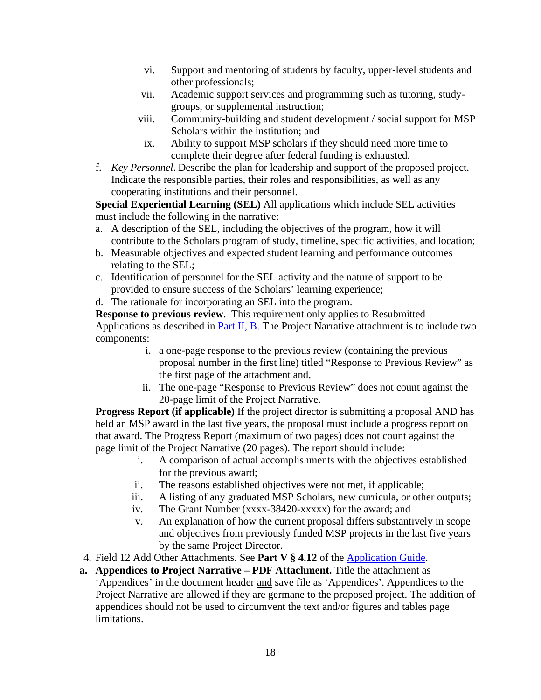- vi. Support and mentoring of students by faculty, upper-level students and other professionals;
- vii. Academic support services and programming such as tutoring, studygroups, or supplemental instruction;
- viii. Community-building and student development / social support for MSP Scholars within the institution; and
- ix. Ability to support MSP scholars if they should need more time to complete their degree after federal funding is exhausted.
- f. *Key Personnel*. Describe the plan for leadership and support of the proposed project. Indicate the responsible parties, their roles and responsibilities, as well as any cooperating institutions and their personnel.

**Special Experiential Learning (SEL)** All applications which include SEL activities must include the following in the narrative:

- a. A description of the SEL, including the objectives of the program, how it will contribute to the Scholars program of study, timeline, specific activities, and location;
- b. Measurable objectives and expected student learning and performance outcomes relating to the SEL;
- c. Identification of personnel for the SEL activity and the nature of support to be provided to ensure success of the Scholars' learning experience;
- d. The rationale for incorporating an SEL into the program.

**Response to previous review**. This requirement only applies to Resubmitted Applications as described in [Part II, B.](#page-8-2) The Project Narrative attachment is to include two components:

- i. a one-page response to the previous review (containing the previous proposal number in the first line) titled "Response to Previous Review" as the first page of the attachment and,
- ii. The one-page "Response to Previous Review" does not count against the 20-page limit of the Project Narrative.

**Progress Report (if applicable)** If the project director is submitting a proposal AND has held an MSP award in the last five years, the proposal must include a progress report on that award. The Progress Report (maximum of two pages) does not count against the page limit of the Project Narrative (20 pages). The report should include:

- i. A comparison of actual accomplishments with the objectives established for the previous award;
- ii. The reasons established objectives were not met, if applicable;
- iii. A listing of any graduated MSP Scholars, new curricula, or other outputs;
- iv. The Grant Number (xxxx-38420-xxxxx) for the award; and
- v. An explanation of how the current proposal differs substantively in scope and objectives from previously funded MSP projects in the last five years by the same Project Director.
- 4. Field 12 Add Other Attachments. See **Part V § 4.12** of the [Application Guide.](https://apply07.grants.gov/apply/opportunities/instructions/PKG00249520-instructions.pdf)
- **a. Appendices to Project Narrative – PDF Attachment.** Title the attachment as 'Appendices' in the document header and save file as 'Appendices'. Appendices to the Project Narrative are allowed if they are germane to the proposed project. The addition of appendices should not be used to circumvent the text and/or figures and tables page limitations.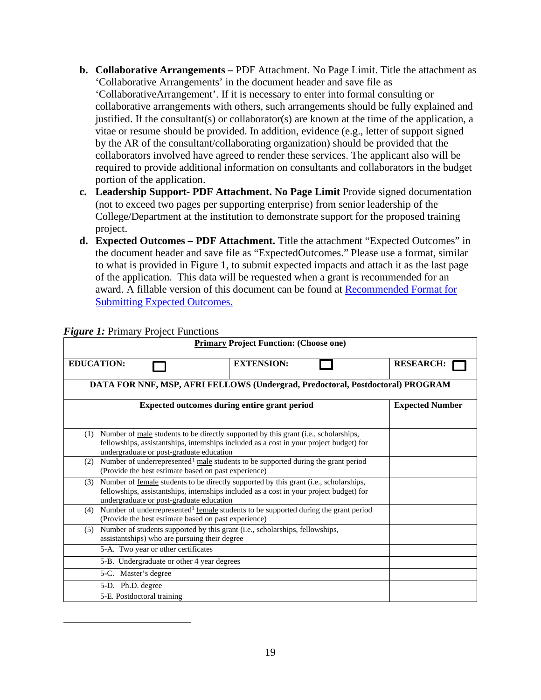- **b. Collaborative Arrangements –** PDF Attachment. No Page Limit. Title the attachment as 'Collaborative Arrangements' in the document header and save file as 'CollaborativeArrangement'. If it is necessary to enter into formal consulting or collaborative arrangements with others, such arrangements should be fully explained and justified. If the consultant(s) or collaborator(s) are known at the time of the application, a vitae or resume should be provided. In addition, evidence (e.g., letter of support signed by the AR of the consultant/collaborating organization) should be provided that the collaborators involved have agreed to render these services. The applicant also will be required to provide additional information on consultants and collaborators in the budget portion of the application.
- **c. Leadership Support- PDF Attachment. No Page Limit** Provide signed documentation (not to exceed two pages per supporting enterprise) from senior leadership of the College/Department at the institution to demonstrate support for the proposed training project.
- **d. Expected Outcomes – PDF Attachment.** Title the attachment "Expected Outcomes" in the document header and save file as "ExpectedOutcomes." Please use a format, similar to what is provided in Figure 1, to submit expected impacts and attach it as the last page of the application. This data will be requested when a grant is recommended for an award. A fillable version of this document can be found at [Recommended Format for](https://nifa.usda.gov/resource/recommended-format-submitting-expected-impacts)  [Submitting Expected Outcomes.](https://nifa.usda.gov/resource/recommended-format-submitting-expected-impacts)

<span id="page-18-0"></span>

| <b>Primary Project Function: (Choose one)</b>                                                                                                                                                                                            |                        |  |
|------------------------------------------------------------------------------------------------------------------------------------------------------------------------------------------------------------------------------------------|------------------------|--|
| <b>EDUCATION:</b><br><b>EXTENSION:</b>                                                                                                                                                                                                   | <b>RESEARCH:</b>       |  |
| DATA FOR NNF, MSP, AFRI FELLOWS (Undergrad, Predoctoral, Postdoctoral) PROGRAM                                                                                                                                                           |                        |  |
| Expected outcomes during entire grant period                                                                                                                                                                                             | <b>Expected Number</b> |  |
|                                                                                                                                                                                                                                          |                        |  |
| Number of <u>male</u> students to be directly supported by this grant (i.e., scholarships,<br>(1)<br>fellowships, assistantships, internships included as a cost in your project budget) for<br>undergraduate or post-graduate education |                        |  |
| Number of underrepresented <sup>1</sup> male students to be supported during the grant period<br>(2)<br>(Provide the best estimate based on past experience)                                                                             |                        |  |
| Number of female students to be directly supported by this grant (i.e., scholarships,<br>(3)<br>fellowships, assistantships, internships included as a cost in your project budget) for<br>undergraduate or post-graduate education      |                        |  |
| Number of underrepresented <sup>1</sup> female students to be supported during the grant period<br>(4)<br>(Provide the best estimate based on past experience)                                                                           |                        |  |
| Number of students supported by this grant (i.e., scholarships, fellowships,<br>(5)<br>assistantships) who are pursuing their degree                                                                                                     |                        |  |
| 5-A. Two year or other certificates                                                                                                                                                                                                      |                        |  |
| 5-B. Undergraduate or other 4 year degrees                                                                                                                                                                                               |                        |  |
| 5-C. Master's degree                                                                                                                                                                                                                     |                        |  |
| 5-D. Ph.D. degree                                                                                                                                                                                                                        |                        |  |
| 5-E. Postdoctoral training                                                                                                                                                                                                               |                        |  |

#### *Figure 1:* Primary Project Functions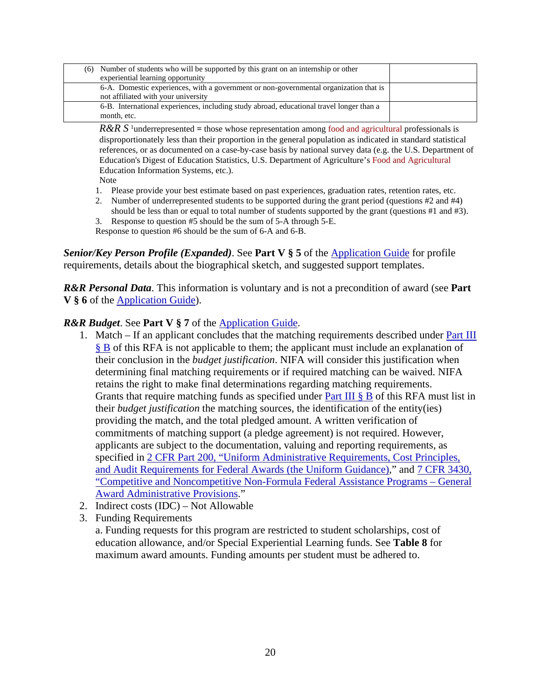| (6) Number of students who will be supported by this grant on an internship or other<br>experiential learning opportunity    |  |
|------------------------------------------------------------------------------------------------------------------------------|--|
| 6-A. Domestic experiences, with a government or non-governmental organization that is<br>not affiliated with your university |  |
| 6-B. International experiences, including study abroad, educational travel longer than a<br>month, etc.                      |  |

 $R\&R S$ <sup>1</sup>underrepresented = those whose representation among food and agricultural professionals is disproportionately less than their proportion in the general population as indicated in standard statistical references, or as documented on a case-by-case basis by national survey data (e.g. the U.S. Department of Education's Digest of Education Statistics, U.S. Department of Agriculture's Food and Agricultural Education Information Systems, etc.).

Note

- 1. Please provide your best estimate based on past experiences, graduation rates, retention rates, etc.
- 2. Number of underrepresented students to be supported during the grant period (questions  $#2$  and  $#4$ ) should be less than or equal to total number of students supported by the grant (questions #1 and #3).
- 3. Response to question #5 should be the sum of 5-A through 5-E. Response to question #6 should be the sum of 6-A and 6-B.

*Senior/Key Person Profile (Expanded)*. See **Part V § 5** of the [Application Guide](https://apply07.grants.gov/apply/opportunities/instructions/PKG00249520-instructions.pdf) for profile requirements, details about the biographical sketch, and suggested support templates.

*R&R Personal Data*. This information is voluntary and is not a precondition of award (see **Part V § 6** of the [Application Guide\)](https://apply07.grants.gov/apply/opportunities/instructions/PKG00249520-instructions.pdf).

#### *R&R Budget*. See **Part V § 7** of the [Application Guide.](https://apply07.grants.gov/apply/opportunities/instructions/PKG00249520-instructions.pdf)

- 1. Match If an applicant concludes that the matching requirements described under [Part III](#page-12-0)  [§ B](#page-12-0) of this RFA is not applicable to them; the applicant must include an explanation of their conclusion in the *budget justification*. NIFA will consider this justification when determining final matching requirements or if required matching can be waived. NIFA retains the right to make final determinations regarding matching requirements. Grants that require matching funds as specified under [Part III § B](#page-12-0) of this RFA must list in their *budget justification* the matching sources, the identification of the entity(ies) providing the match, and the total pledged amount. A written verification of commitments of matching support (a pledge agreement) is not required. However, applicants are subject to the documentation, valuing and reporting requirements, as specified in [2 CFR Part 200, "Uniform Administrative Requirements, Cost Principles,](https://www.ecfr.gov/cgi-bin/text-idx?SID=39448527cdd5ebd0a063b91b8b44f0f5&mc=true&node=pt2.1.200&rgn=div5)  [and Audit Requirements for Federal Awards \(the Uniform Guidance\),](https://www.ecfr.gov/cgi-bin/text-idx?SID=39448527cdd5ebd0a063b91b8b44f0f5&mc=true&node=pt2.1.200&rgn=div5)" and [7 CFR 3430,](https://ecfr.io/Title-07/pt7.15.3430)  ["Competitive and Noncompetitive Non-Formula Federal Assistance Programs –](https://ecfr.io/Title-07/pt7.15.3430) General [Award Administrative Provisions.](https://ecfr.io/Title-07/pt7.15.3430)"
- 2. Indirect costs (IDC) Not Allowable
- 3. Funding Requirements

<span id="page-19-0"></span>a. Funding requests for this program are restricted to student scholarships, cost of education allowance, and/or Special Experiential Learning funds. See **Table 8** for maximum award amounts. Funding amounts per student must be adhered to.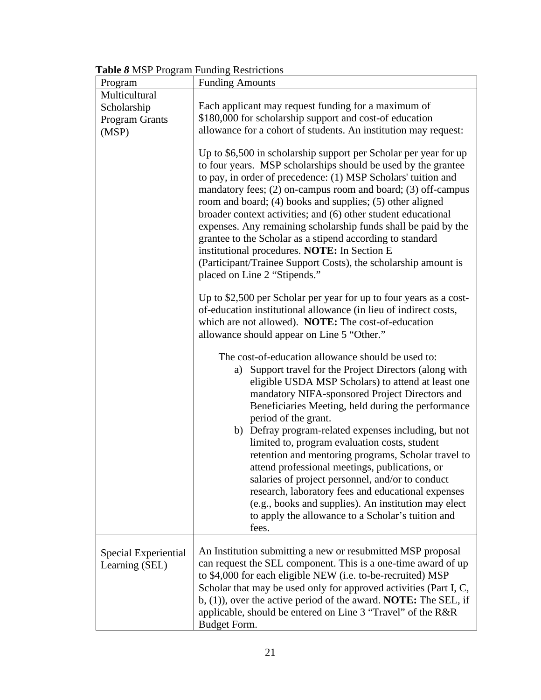|  |  |  |  |  | Table 8 MSP Program Funding Restrictions |
|--|--|--|--|--|------------------------------------------|
|--|--|--|--|--|------------------------------------------|

| Program                                | <b>Funding Amounts</b>                                                                                                                                                                                                                                                                                                                                                                                                                                                                                                                                                                                                                                                                                                                                 |
|----------------------------------------|--------------------------------------------------------------------------------------------------------------------------------------------------------------------------------------------------------------------------------------------------------------------------------------------------------------------------------------------------------------------------------------------------------------------------------------------------------------------------------------------------------------------------------------------------------------------------------------------------------------------------------------------------------------------------------------------------------------------------------------------------------|
| Multicultural                          |                                                                                                                                                                                                                                                                                                                                                                                                                                                                                                                                                                                                                                                                                                                                                        |
| Scholarship                            | Each applicant may request funding for a maximum of                                                                                                                                                                                                                                                                                                                                                                                                                                                                                                                                                                                                                                                                                                    |
| <b>Program Grants</b>                  | \$180,000 for scholarship support and cost-of education                                                                                                                                                                                                                                                                                                                                                                                                                                                                                                                                                                                                                                                                                                |
| (MSP)                                  | allowance for a cohort of students. An institution may request:                                                                                                                                                                                                                                                                                                                                                                                                                                                                                                                                                                                                                                                                                        |
|                                        | Up to \$6,500 in scholarship support per Scholar per year for up<br>to four years. MSP scholarships should be used by the grantee<br>to pay, in order of precedence: (1) MSP Scholars' tuition and<br>mandatory fees; (2) on-campus room and board; (3) off-campus<br>room and board; (4) books and supplies; (5) other aligned<br>broader context activities; and (6) other student educational<br>expenses. Any remaining scholarship funds shall be paid by the<br>grantee to the Scholar as a stipend according to standard<br>institutional procedures. NOTE: In Section E<br>(Participant/Trainee Support Costs), the scholarship amount is<br>placed on Line 2 "Stipends."                                                                      |
|                                        | Up to \$2,500 per Scholar per year for up to four years as a cost-<br>of-education institutional allowance (in lieu of indirect costs,<br>which are not allowed). NOTE: The cost-of-education<br>allowance should appear on Line 5 "Other."                                                                                                                                                                                                                                                                                                                                                                                                                                                                                                            |
|                                        | The cost-of-education allowance should be used to:<br>a) Support travel for the Project Directors (along with<br>eligible USDA MSP Scholars) to attend at least one<br>mandatory NIFA-sponsored Project Directors and<br>Beneficiaries Meeting, held during the performance<br>period of the grant.<br>b) Defray program-related expenses including, but not<br>limited to, program evaluation costs, student<br>retention and mentoring programs, Scholar travel to<br>attend professional meetings, publications, or<br>salaries of project personnel, and/or to conduct<br>research, laboratory fees and educational expenses<br>(e.g., books and supplies). An institution may elect<br>to apply the allowance to a Scholar's tuition and<br>fees. |
| Special Experiential<br>Learning (SEL) | An Institution submitting a new or resubmitted MSP proposal<br>can request the SEL component. This is a one-time award of up<br>to \$4,000 for each eligible NEW (i.e. to-be-recruited) MSP<br>Scholar that may be used only for approved activities (Part I, C,<br>b, $(1)$ ), over the active period of the award. <b>NOTE:</b> The SEL, if<br>applicable, should be entered on Line 3 "Travel" of the R&R<br>Budget Form.                                                                                                                                                                                                                                                                                                                           |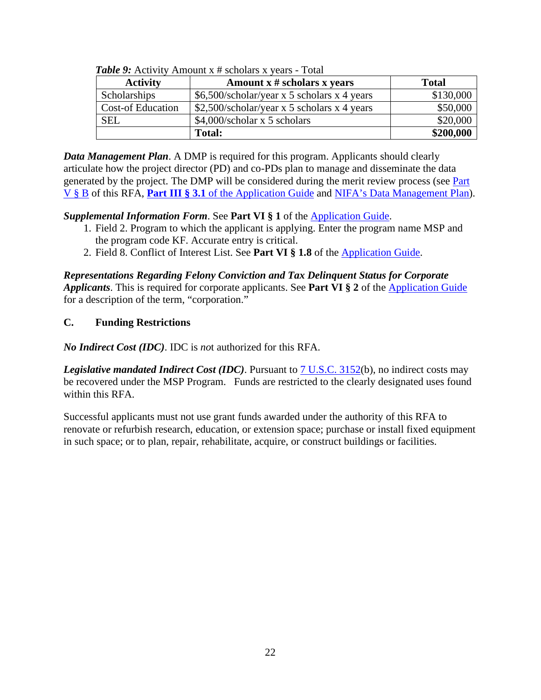<span id="page-21-1"></span>

| <b>Activity</b>          | Amount $x \#$ scholars x years              | <b>Total</b> |
|--------------------------|---------------------------------------------|--------------|
| <b>Scholarships</b>      | \$6,500/scholar/year x 5 scholars x 4 years | \$130,000    |
| <b>Cost-of Education</b> | \$2,500/scholar/year x 5 scholars x 4 years | \$50,000     |
| <b>SEL</b>               | $$4,000$ /scholar x 5 scholars              | \$20,000     |
|                          | <b>Total:</b>                               | \$200,000    |

*Table 9:* Activity Amount x # scholars x years - Total

*Data Management Plan*. A DMP is required for this program. Applicants should clearly articulate how the project director (PD) and co-PDs plan to manage and disseminate the data generated by the project. The DMP will be considered during the merit review process (see [Part](#page-22-2)  [V § B](#page-22-2) of this RFA, **Part III § 3.1** of the [Application Guide](https://apply07.grants.gov/apply/opportunities/instructions/PKG00249520-instructions.pdf) and [NIFA's Data Management Plan\)](https://nifa.usda.gov/resource/data-management-plan-nifa-funded-research-projects).

# *Supplemental Information Form*. See **Part VI § 1** of the [Application Guide.](https://apply07.grants.gov/apply/opportunities/instructions/PKG00249520-instructions.pdf)

- 1. Field 2. Program to which the applicant is applying. Enter the program name MSP and the program code KF. Accurate entry is critical.
- 2. Field 8. Conflict of Interest List. See **Part VI § 1.8** of the [Application Guide.](https://apply07.grants.gov/apply/opportunities/instructions/PKG00249520-instructions.pdf)

*Representations Regarding Felony Conviction and Tax Delinquent Status for Corporate Applicants*. This is required for corporate applicants. See **Part VI § 2** of the [Application Guide](https://apply07.grants.gov/apply/opportunities/instructions/PKG00249520-instructions.pdf) for a description of the term, "corporation."

# <span id="page-21-0"></span>**C. Funding Restrictions**

*No Indirect Cost (IDC)*. IDC is *no*t authorized for this RFA.

*Legislative mandated Indirect Cost (IDC)*. Pursuant to [7 U.S.C. 3152\(](https://uscode.house.gov/view.xhtml?req=7+USC+3152&f=treesort&fq=true&num=4&hl=true&edition=prelim&granuleId=USC-prelim-title7-section3152)b), no indirect costs may be recovered under the MSP Program. Funds are restricted to the clearly designated uses found within this RFA.

Successful applicants must not use grant funds awarded under the authority of this RFA to renovate or refurbish research, education, or extension space; purchase or install fixed equipment in such space; or to plan, repair, rehabilitate, acquire, or construct buildings or facilities.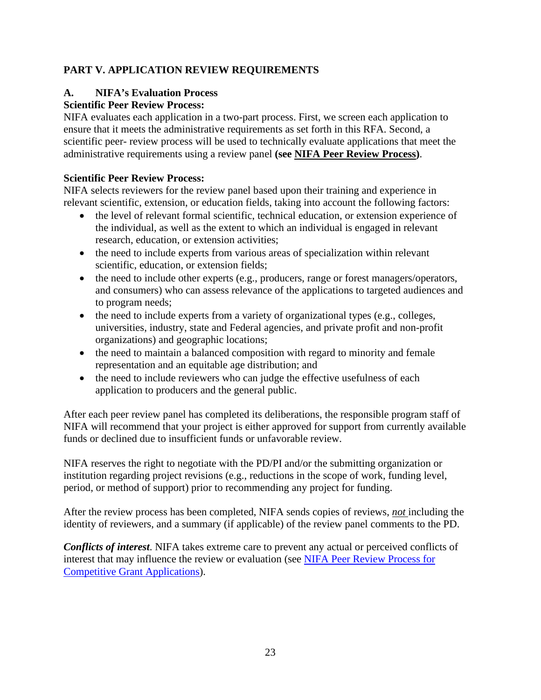# <span id="page-22-0"></span>**PART V. APPLICATION REVIEW REQUIREMENTS**

# <span id="page-22-1"></span>**A. NIFA's Evaluation Process**

# <span id="page-22-2"></span>**Scientific Peer Review Process:**

NIFA evaluates each application in a two-part process. First, we screen each application to ensure that it meets the administrative requirements as set forth in this RFA. Second, a scientific peer- review process will be used to technically evaluate applications that meet the administrative requirements using a review panel **(see [NIFA Peer Review Process\)](https://nifa.usda.gov/sites/default/files/resource/NIFA-Peer-Review-Process-for-Competitive-Grant-Applications_0.pdf)**.

#### **Scientific Peer Review Process:**

NIFA selects reviewers for the review panel based upon their training and experience in relevant scientific, extension, or education fields, taking into account the following factors:

- the level of relevant formal scientific, technical education, or extension experience of the individual, as well as the extent to which an individual is engaged in relevant research, education, or extension activities;
- the need to include experts from various areas of specialization within relevant scientific, education, or extension fields;
- the need to include other experts (e.g., producers, range or forest managers/operators, and consumers) who can assess relevance of the applications to targeted audiences and to program needs;
- the need to include experts from a variety of organizational types (e.g., colleges, universities, industry, state and Federal agencies, and private profit and non-profit organizations) and geographic locations;
- the need to maintain a balanced composition with regard to minority and female representation and an equitable age distribution; and
- the need to include reviewers who can judge the effective usefulness of each application to producers and the general public.

After each peer review panel has completed its deliberations, the responsible program staff of NIFA will recommend that your project is either approved for support from currently available funds or declined due to insufficient funds or unfavorable review.

NIFA reserves the right to negotiate with the PD/PI and/or the submitting organization or institution regarding project revisions (e.g., reductions in the scope of work, funding level, period, or method of support) prior to recommending any project for funding.

After the review process has been completed, NIFA sends copies of reviews, *not* including the identity of reviewers, and a summary (if applicable) of the review panel comments to the PD.

*Conflicts of interest*. NIFA takes extreme care to prevent any actual or perceived conflicts of interest that may influence the review or evaluation (see [NIFA Peer Review Process for](https://nifa.usda.gov/resource/nifa-peer-review-process-competitive-grant-applications)  [Competitive Grant Applications\)](https://nifa.usda.gov/resource/nifa-peer-review-process-competitive-grant-applications).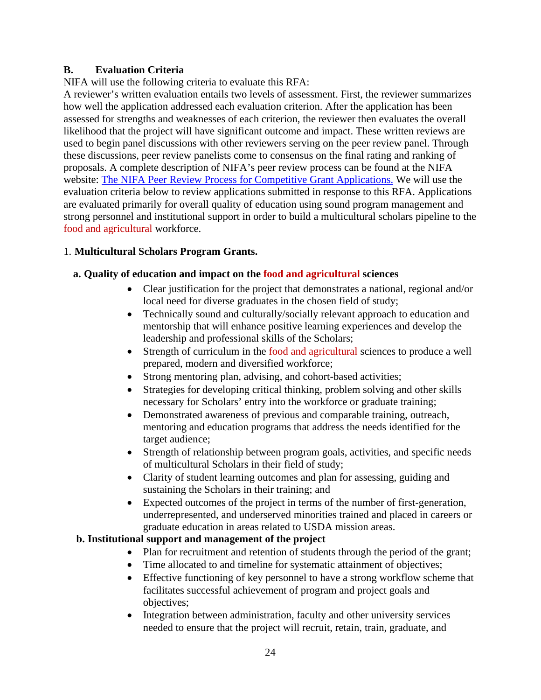# <span id="page-23-0"></span>**B. Evaluation Criteria**

NIFA will use the following criteria to evaluate this RFA:

A reviewer's written evaluation entails two levels of assessment. First, the reviewer summarizes how well the application addressed each evaluation criterion. After the application has been assessed for strengths and weaknesses of each criterion, the reviewer then evaluates the overall likelihood that the project will have significant outcome and impact. These written reviews are used to begin panel discussions with other reviewers serving on the peer review panel. Through these discussions, peer review panelists come to consensus on the final rating and ranking of proposals. A complete description of NIFA's peer review process can be found at the NIFA website: [The NIFA Peer Review Process for Competitive Grant Applications.](https://nifa.usda.gov/sites/default/files/resource/NIFA-Peer-Review-Process-for-Competitive-Grant-Applications_0.pdf) We will use the evaluation criteria below to review applications submitted in response to this RFA. Applications are evaluated primarily for overall quality of education using sound program management and strong personnel and institutional support in order to build a multicultural scholars pipeline to the food and agricultural workforce.

# 1. **Multicultural Scholars Program Grants.**

# **a. Quality of education and impact on the food and agricultural sciences**

- Clear justification for the project that demonstrates a national, regional and/or local need for diverse graduates in the chosen field of study;
- Technically sound and culturally/socially relevant approach to education and mentorship that will enhance positive learning experiences and develop the leadership and professional skills of the Scholars;
- Strength of curriculum in the food and agricultural sciences to produce a well prepared, modern and diversified workforce;
- Strong mentoring plan, advising, and cohort-based activities;
- Strategies for developing critical thinking, problem solving and other skills necessary for Scholars' entry into the workforce or graduate training;
- Demonstrated awareness of previous and comparable training, outreach, mentoring and education programs that address the needs identified for the target audience;
- Strength of relationship between program goals, activities, and specific needs of multicultural Scholars in their field of study;
- Clarity of student learning outcomes and plan for assessing, guiding and sustaining the Scholars in their training; and
- Expected outcomes of the project in terms of the number of first-generation, underrepresented, and underserved minorities trained and placed in careers or graduate education in areas related to USDA mission areas.

## **b. Institutional support and management of the project**

- Plan for recruitment and retention of students through the period of the grant;
- Time allocated to and timeline for systematic attainment of objectives;
- Effective functioning of key personnel to have a strong workflow scheme that facilitates successful achievement of program and project goals and objectives;
- Integration between administration, faculty and other university services needed to ensure that the project will recruit, retain, train, graduate, and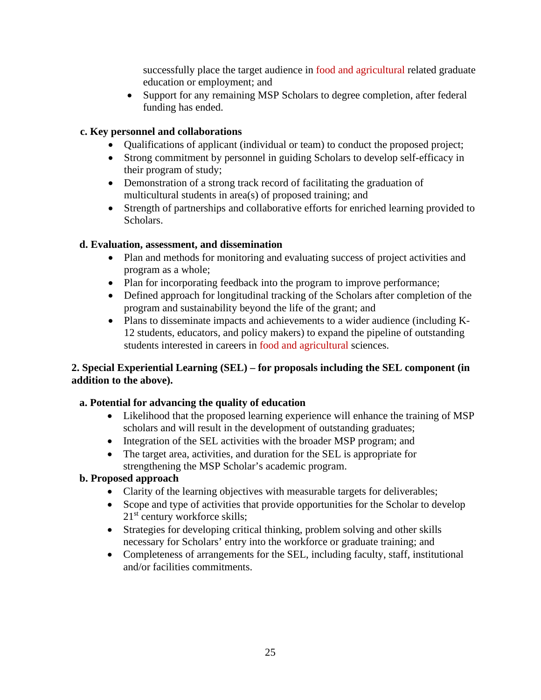successfully place the target audience in food and agricultural related graduate education or employment; and

• Support for any remaining MSP Scholars to degree completion, after federal funding has ended.

# **c. Key personnel and collaborations**

- Qualifications of applicant (individual or team) to conduct the proposed project;
- Strong commitment by personnel in guiding Scholars to develop self-efficacy in their program of study;
- Demonstration of a strong track record of facilitating the graduation of multicultural students in area(s) of proposed training; and
- Strength of partnerships and collaborative efforts for enriched learning provided to Scholars.

# **d. Evaluation, assessment, and dissemination**

- Plan and methods for monitoring and evaluating success of project activities and program as a whole;
- Plan for incorporating feedback into the program to improve performance;
- Defined approach for longitudinal tracking of the Scholars after completion of the program and sustainability beyond the life of the grant; and
- Plans to disseminate impacts and achievements to a wider audience (including K-12 students, educators, and policy makers) to expand the pipeline of outstanding students interested in careers in food and agricultural sciences.

# **2. Special Experiential Learning (SEL) – for proposals including the SEL component (in addition to the above).**

# **a. Potential for advancing the quality of education**

- Likelihood that the proposed learning experience will enhance the training of MSP scholars and will result in the development of outstanding graduates;
- Integration of the SEL activities with the broader MSP program; and
- The target area, activities, and duration for the SEL is appropriate for strengthening the MSP Scholar's academic program.

## **b. Proposed approach**

- Clarity of the learning objectives with measurable targets for deliverables;
- Scope and type of activities that provide opportunities for the Scholar to develop 21<sup>st</sup> century workforce skills;
- Strategies for developing critical thinking, problem solving and other skills necessary for Scholars' entry into the workforce or graduate training; and
- Completeness of arrangements for the SEL, including faculty, staff, institutional and/or facilities commitments.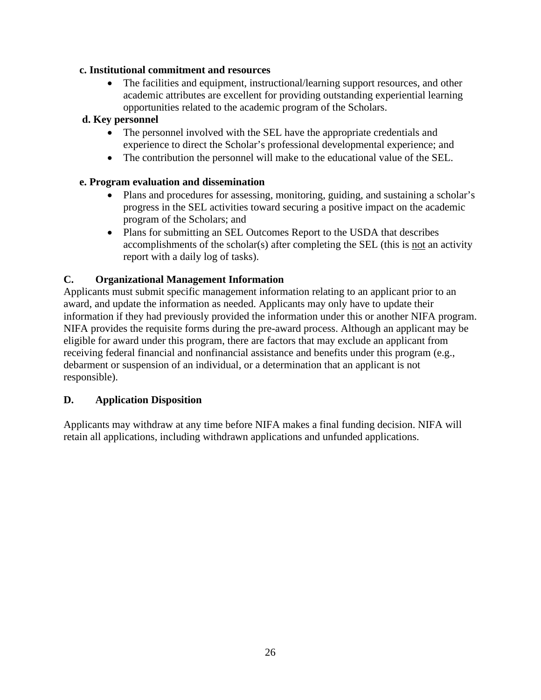## **c. Institutional commitment and resources**

The facilities and equipment, instructional/learning support resources, and other academic attributes are excellent for providing outstanding experiential learning opportunities related to the academic program of the Scholars.

## **d. Key personnel**

- The personnel involved with the SEL have the appropriate credentials and experience to direct the Scholar's professional developmental experience; and
- The contribution the personnel will make to the educational value of the SEL.

#### **e. Program evaluation and dissemination**

- Plans and procedures for assessing, monitoring, guiding, and sustaining a scholar's progress in the SEL activities toward securing a positive impact on the academic program of the Scholars; and
- Plans for submitting an SEL Outcomes Report to the USDA that describes accomplishments of the scholar(s) after completing the SEL (this is not an activity report with a daily log of tasks).

## <span id="page-25-0"></span>**C. Organizational Management Information**

Applicants must submit specific management information relating to an applicant prior to an award, and update the information as needed. Applicants may only have to update their information if they had previously provided the information under this or another NIFA program. NIFA provides the requisite forms during the pre-award process. Although an applicant may be eligible for award under this program, there are factors that may exclude an applicant from receiving federal financial and nonfinancial assistance and benefits under this program (e.g., debarment or suspension of an individual, or a determination that an applicant is not responsible).

#### <span id="page-25-1"></span>**D. Application Disposition**

Applicants may withdraw at any time before NIFA makes a final funding decision. NIFA will retain all applications, including withdrawn applications and unfunded applications.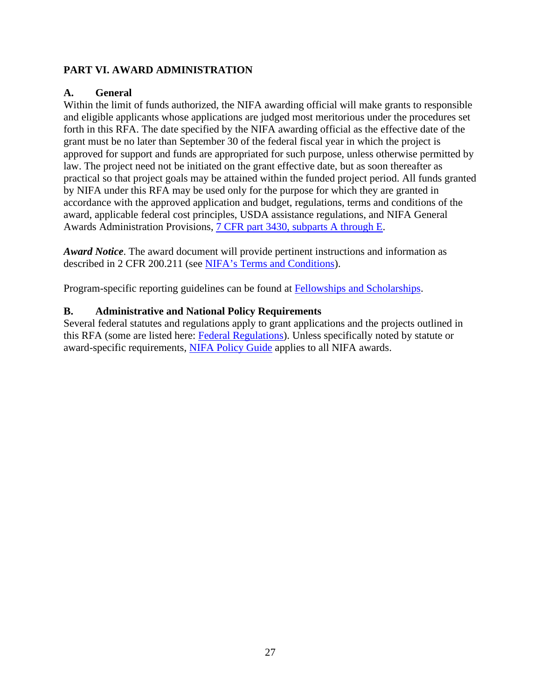# <span id="page-26-0"></span>**PART VI. AWARD ADMINISTRATION**

## <span id="page-26-1"></span>**A. General**

Within the limit of funds authorized, the NIFA awarding official will make grants to responsible and eligible applicants whose applications are judged most meritorious under the procedures set forth in this RFA. The date specified by the NIFA awarding official as the effective date of the grant must be no later than September 30 of the federal fiscal year in which the project is approved for support and funds are appropriated for such purpose, unless otherwise permitted by law. The project need not be initiated on the grant effective date, but as soon thereafter as practical so that project goals may be attained within the funded project period. All funds granted by NIFA under this RFA may be used only for the purpose for which they are granted in accordance with the approved application and budget, regulations, terms and conditions of the award, applicable federal cost principles, USDA assistance regulations, and NIFA General Awards Administration Provisions, [7 CFR part 3430, subparts A through E.](https://www.ecfr.gov/cgi-bin/text-idx?SID=815901d618f7969fa2096dc30d536f46&mc=true&node=pt7.15.3430&rgn=div5)

*Award Notice*. The award document will provide pertinent instructions and information as described in 2 CFR 200.211 (see [NIFA's Terms and Conditions\)](https://nifa.usda.gov/terms-and-conditions).

Program-specific reporting guidelines can be found at [Fellowships and Scholarships.](https://nifa.usda.gov/sites/default/files/resource/fellowships-and-scholarships-entry-and-exit-form.pdf)

## <span id="page-26-2"></span>**B. Administrative and National Policy Requirements**

Several federal statutes and regulations apply to grant applications and the projects outlined in this RFA (some are listed here: [Federal Regulations\)](https://nifa.usda.gov/federal-regulations). Unless specifically noted by statute or award-specific requirements, [NIFA Policy Guide](https://nifa.usda.gov/policy-guide) applies to all NIFA awards.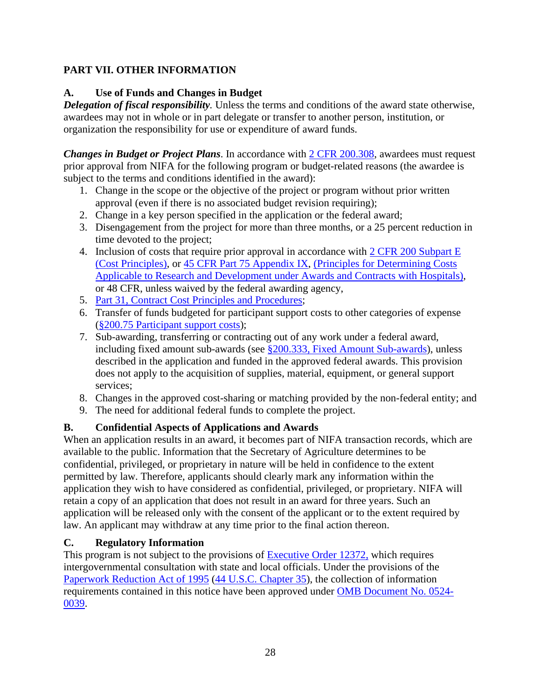# <span id="page-27-0"></span>**PART VII. OTHER INFORMATION**

# <span id="page-27-1"></span>**A. Use of Funds and Changes in Budget**

*Delegation of fiscal responsibility.* Unless the terms and conditions of the award state otherwise, awardees may not in whole or in part delegate or transfer to another person, institution, or organization the responsibility for use or expenditure of award funds.

*Changes in Budget or Project Plans.* In accordance with  $2$  CFR 200.308, awardees must request prior approval from NIFA for the following program or budget-related reasons (the awardee is subject to the terms and conditions identified in the award):

- 1. Change in the scope or the objective of the project or program without prior written approval (even if there is no associated budget revision requiring);
- 2. Change in a key person specified in the application or the federal award;
- 3. Disengagement from the project for more than three months, or a 25 percent reduction in time devoted to the project;
- 4. Inclusion of costs that require prior approval in accordance with [2 CFR 200 Subpart E](https://www.ecfr.gov/cgi-bin/text-idx?SID=49e284a550f3e8f0511eaf1bb2573675&mc=true&node=sp2.1.200.e&rgn=div6) [\(Cost Principles\),](https://www.ecfr.gov/cgi-bin/text-idx?SID=49e284a550f3e8f0511eaf1bb2573675&mc=true&node=sp2.1.200.e&rgn=div6) or [45 CFR Part 75 Appendix IX,](https://www.ecfr.gov/cgi-bin/text-idx?node=pt45.1.75#ap45.1.75_1521.ix) [\(Principles for Determining Costs](https://www.ecfr.gov/cgi-bin/text-idx?node=pt45.1.75#ap45.1.75_1521.ix)  Applicable to [Research and Development under Awards and Contracts with Hospitals\)](https://www.ecfr.gov/cgi-bin/text-idx?node=pt45.1.75#ap45.1.75_1521.ix), or 48 CFR, unless waived by the federal awarding agency,
- 5. Part 31, [Contract Cost Principles and Procedures;](https://www.ecfr.gov/cgi-bin/text-idx?SID=4116809fdca3e3f04379cb23d56ed9bc&mc=true&node=pt48.1.31&rgn=div5)
- 6. Transfer of funds budgeted for participant support costs to other categories of expense (§200.75 [Participant support costs\)](https://www.ecfr.gov/cgi-bin/text-idx?SID=252eca751b0906fb741d3afd70d19947&mc=true&node=se2.1.200_175&rgn=div8);
- 7. Sub-awarding, transferring or contracting out of any work under a federal award, including fixed amount sub-awards (see  $\S 200.333$ , [Fixed Amount](https://www.ecfr.gov/cgi-bin/text-idx?SID=701a884d65ba71cf58f1615952faeb03&mc=true&node=se2.1.200_1333&rgn=div8) Sub-awards), unless described in the application and funded in the approved federal awards. This provision does not apply to the acquisition of supplies, material, equipment, or general support services;
- 8. Changes in the approved cost-sharing or matching provided by the non-federal entity; and
- 9. The need for additional federal funds to complete the project.

# <span id="page-27-2"></span>**B. Confidential Aspects of Applications and Awards**

When an application results in an award, it becomes part of NIFA transaction records, which are available to the public. Information that the Secretary of Agriculture determines to be confidential, privileged, or proprietary in nature will be held in confidence to the extent permitted by law. Therefore, applicants should clearly mark any information within the application they wish to have considered as confidential, privileged, or proprietary. NIFA will retain a copy of an application that does not result in an award for three years. Such an application will be released only with the consent of the applicant or to the extent required by law. An applicant may withdraw at any time prior to the final action thereon.

# <span id="page-27-3"></span>**C. Regulatory Information**

This program is not subject to the provisions of [Executive Order 12372,](https://www.fws.gov/policy/library/rgeo12372.pdf) which requires intergovernmental consultation with state and local officials. Under the provisions of the [Paperwork Reduction Act of 1995](https://www.reginfo.gov/public/reginfo/pra.pdf) [\(44 U.S.C. Chapter 35\)](http://uscode.house.gov/view.xhtml?path=/prelim@title44/chapter35&edition=prelim), the collection of information requirements contained in this notice have been approved under [OMB Document No. 0524-](https://www.federalregister.gov/documents/2018/10/29/2018-23552/submission-for-omb-review-comment-request) [0039.](https://www.federalregister.gov/documents/2018/10/29/2018-23552/submission-for-omb-review-comment-request)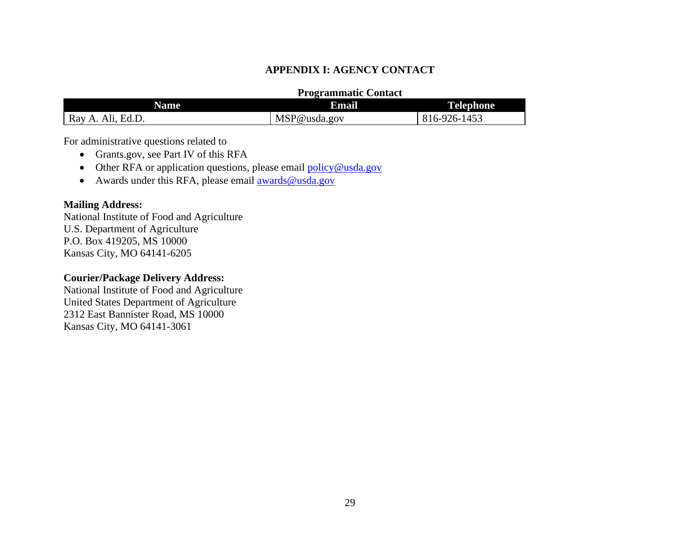### **APPENDIX I: AGENCY CONTACT**

### **Programmatic Contact**

| <b>Name</b>                      | Email        | <b>Telephone</b> |
|----------------------------------|--------------|------------------|
| Ed.D.<br>Ray<br>A I1<br>$\Delta$ | MSP@usda.gov | 16-926-1453      |

For administrative questions related to

- Grants.gov, see Part IV of this RFA
- Other RFA or application questions, please email [policy@usda.gov](mailto:policy@usda.gov)
- Awards under this RFA, please email [awards@usda.gov](mailto:awards@usda.gov)

### **Mailing Address:**

<span id="page-28-0"></span>National Institute of Food and Agriculture U.S. Department of Agriculture P.O. Box 419205, MS 10000 Kansas City, MO 64141-6205

### **Courier/Package Delivery Address:**

National Institute of Food and Agriculture United States Department of Agriculture 2312 East Bannister Road, MS 10000 Kansas City, MO 64141-3061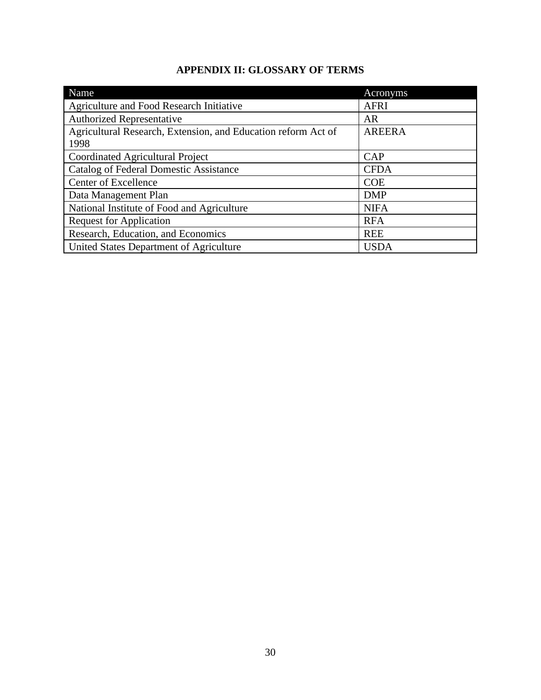# **APPENDIX II: GLOSSARY OF TERMS**

<span id="page-29-0"></span>

| Name                                                                  | Acronyms      |
|-----------------------------------------------------------------------|---------------|
| Agriculture and Food Research Initiative                              | <b>AFRI</b>   |
| <b>Authorized Representative</b>                                      | AR            |
| Agricultural Research, Extension, and Education reform Act of<br>1998 | <b>AREERA</b> |
| Coordinated Agricultural Project                                      | CAP           |
| <b>Catalog of Federal Domestic Assistance</b>                         | <b>CFDA</b>   |
| Center of Excellence                                                  | <b>COE</b>    |
| Data Management Plan                                                  | <b>DMP</b>    |
| National Institute of Food and Agriculture                            | <b>NIFA</b>   |
| <b>Request for Application</b>                                        | <b>RFA</b>    |
| Research, Education, and Economics                                    | <b>REE</b>    |
| United States Department of Agriculture                               | <b>USDA</b>   |